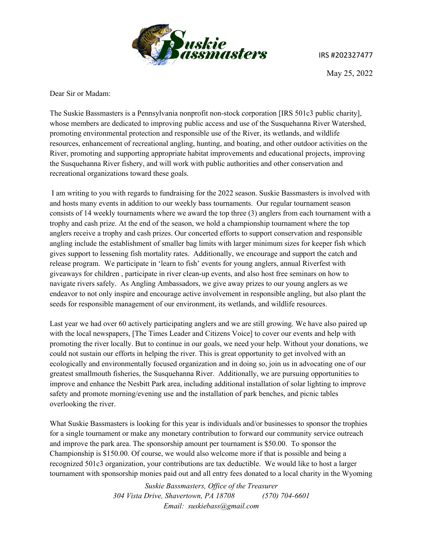

IRS #202327477

May 25, 2022

Dear Sir or Madam:

The Suskie Bassmasters is a Pennsylvania nonprofit non-stock corporation [IRS 501c3 public charity], whose members are dedicated to improving public access and use of the Susquehanna River Watershed, promoting environmental protection and responsible use of the River, its wetlands, and wildlife resources, enhancement of recreational angling, hunting, and boating, and other outdoor activities on the River, promoting and supporting appropriate habitat improvements and educational projects, improving the Susquehanna River fishery, and will work with public authorities and other conservation and recreational organizations toward these goals.

I am writing to you with regards to fundraising for the 2022 season. Suskie Bassmasters is involved with and hosts many events in addition to our weekly bass tournaments. Our regular tournament season consists of 14 weekly tournaments where we award the top three (3) anglers from each tournament with a trophy and cash prize. At the end of the season, we hold a championship tournament where the top anglers receive a trophy and cash prizes. Our concerted efforts to support conservation and responsible angling include the establishment of smaller bag limits with larger minimum sizes for keeper fish which gives support to lessening fish mortality rates. Additionally, we encourage and support the catch and release program. We participate in 'learn to fish' events for young anglers, annual Riverfest with giveaways for children , participate in river clean-up events, and also host free seminars on how to navigate rivers safely. As Angling Ambassadors, we give away prizes to our young anglers as we endeavor to not only inspire and encourage active involvement in responsible angling, but also plant the seeds for responsible management of our environment, its wetlands, and wildlife resources.

Last year we had over 60 actively participating anglers and we are still growing. We have also paired up with the local newspapers, [The Times Leader and Citizens Voice] to cover our events and help with promoting the river locally. But to continue in our goals, we need your help. Without your donations, we could not sustain our efforts in helping the river. This is great opportunity to get involved with an ecologically and environmentally focused organization and in doing so, join us in advocating one of our greatest smallmouth fisheries, the Susquehanna River. Additionally, we are pursuing opportunities to improve and enhance the Nesbitt Park area, including additional installation of solar lighting to improve safety and promote morning/evening use and the installation of park benches, and picnic tables overlooking the river.

What Suskie Bassmasters is looking for this year is individuals and/or businesses to sponsor the trophies for a single tournament or make any monetary contribution to forward our community service outreach and improve the park area. The sponsorship amount per tournament is \$50.00. To sponsor the Championship is \$150.00. Of course, we would also welcome more if that is possible and being a recognized 501c3 organization, your contributions are tax deductible. We would like to host a larger tournament with sponsorship monies paid out and all entry fees donated to a local charity in the Wyoming

> *Suskie Bassmasters, Office of the Treasurer 304 Vista Drive, Shavertown, PA 18708 (570) 704-6601 Email: suskiebass@gmail.com*